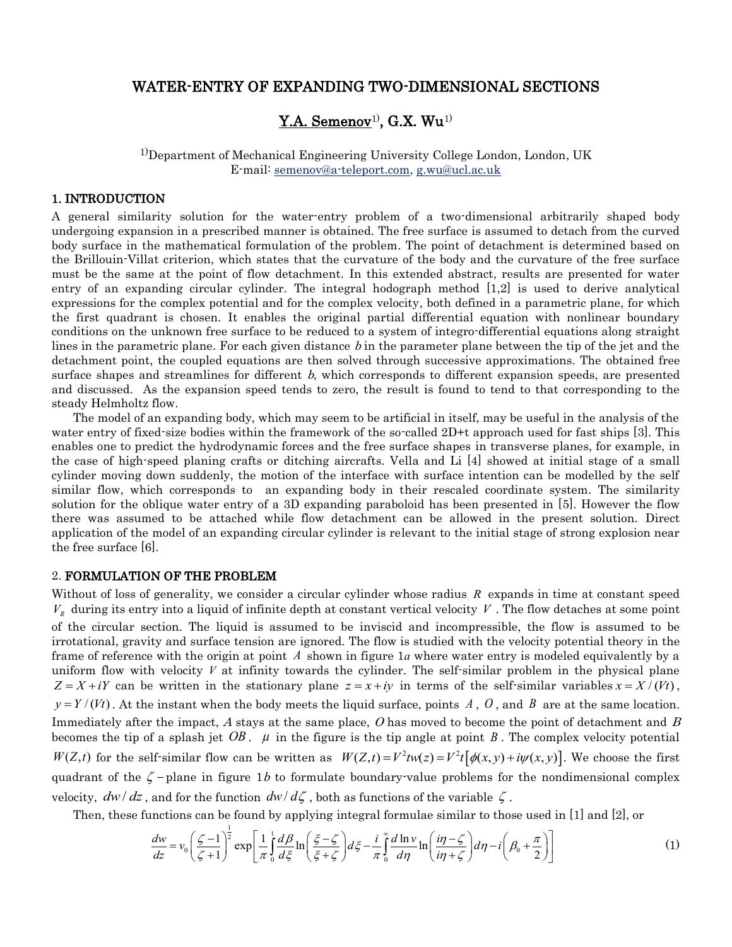## WATER-ENTRY OF EXPANDING TWO-DIMENSIONAL SECTIONS

# $\mathbf{Y}$ .A. Semenov $^{1)}$ , G.X. Wu $^{1)}$

1)Department of Mechanical Engineering University College London, London, UK E-mail: [semenov@a-teleport.com, g.wu@ucl.ac.uk](mailto:semenov@a-teleport.com)

#### 1. INTRODUCTION

A general similarity solution for the water-entry problem of a two-dimensional arbitrarily shaped body undergoing expansion in a prescribed manner is obtained. The free surface is assumed to detach from the curved body surface in the mathematical formulation of the problem. The point of detachment is determined based on the Brillouin-Villat criterion, which states that the curvature of the body and the curvature of the free surface must be the same at the point of flow detachment. In this extended abstract, results are presented for water entry of an expanding circular cylinder. The integral hodograph method [1,2] is used to derive analytical expressions for the complex potential and for the complex velocity, both defined in a parametric plane, for which the first quadrant is chosen. It enables the original partial differential equation with nonlinear boundary conditions on the unknown free surface to be reduced to a system of integro-differential equations along straight lines in the parametric plane. For each given distance b in the parameter plane between the tip of the jet and the detachment point, the coupled equations are then solved through successive approximations. The obtained free surface shapes and streamlines for different b, which corresponds to different expansion speeds, are presented and discussed. As the expansion speed tends to zero, the result is found to tend to that corresponding to the steady Helmholtz flow.

The model of an expanding body, which may seem to be artificial in itself, may be useful in the analysis of the water entry of fixed-size bodies within the framework of the so-called 2D+t approach used for fast ships [3]. This enables one to predict the hydrodynamic forces and the free surface shapes in transverse planes, for example, in the case of high-speed planing crafts or ditching aircrafts. Vella and Li [4] showed at initial stage of a small cylinder moving down suddenly, the motion of the interface with surface intention can be modelled by the self similar flow, which corresponds to an expanding body in their rescaled coordinate system. The similarity solution for the oblique water entry of a 3D expanding paraboloid has been presented in [5]. However the flow there was assumed to be attached while flow detachment can be allowed in the present solution. Direct application of the model of an expanding circular cylinder is relevant to the initial stage of strong explosion near the free surface [6].

#### 2. FORMULATION OF THE PROBLEM

Without of loss of generality, we consider a circular cylinder whose radius *R* expands in time at constant speed  $V_R$  during its entry into a liquid of infinite depth at constant vertical velocity V. The flow detaches at some point of the circular section. The liquid is assumed to be inviscid and incompressible, the flow is assumed to be irrotational, gravity and surface tension are ignored. The flow is studied with the velocity potential theory in the frame of reference with the origin at point A shown in figure 1*a* where water entry is modeled equivalently by a uniform flow with velocity  $V$  at infinity towards the cylinder. The self-similar problem in the physical plane  $Z = X + iY$  can be written in the stationary plane  $z = x + iy$  in terms of the self-similar variables  $x = X/(Vt)$ ,  $y = Y/(Vt)$ . At the instant when the body meets the liquid surface, points A, O, and B are at the same location. Immediately after the impact, A stays at the same place, O has moved to become the point of detachment and  $B$ becomes the tip of a splash jet  $OB$ .  $\mu$  in the figure is the tip angle at point B. The complex velocity potential becomes the tip of a splash jet  $OB$ .  $\mu$  in the figure is the tip angle at point  $B$ . The complex velocity potential  $W(Z,t)$  for the self-similar flow can be written as  $W(Z,t) = V^2 t [\phi(x, y) + i\psi(x, y)]$ . We choose the first quadrant of the  $\zeta$ -plane in figure 1b to formulate boundary-value problems for the nondimensional complex velocity,  $dw/dz$ , and for the function  $dw/d\zeta$ , both as functions of the variable  $\zeta$ .

Then, these functions can be found by applying integral formulae similar to those used in [1] and [2], or

and for the function 
$$
dw/d\zeta
$$
, both as functions of the variable  $\zeta$ .  
\nfunctions can be found by applying integral formulae similar to those used in [1] and [2], or  
\n
$$
\frac{dw}{dz} = v_0 \left(\frac{\zeta - 1}{\zeta + 1}\right)^{\frac{1}{2}} \exp\left[\frac{1}{\pi} \int_0^1 \frac{d\beta}{d\zeta} \ln\left(\frac{\zeta - \zeta}{\zeta + \zeta}\right) d\zeta - \frac{i}{\pi} \int_0^{\infty} \frac{d\ln v}{d\eta} \ln\left(\frac{i\eta - \zeta}{i\eta + \zeta}\right) d\eta - i\left(\beta_0 + \frac{\pi}{2}\right)\right]
$$
\n(1)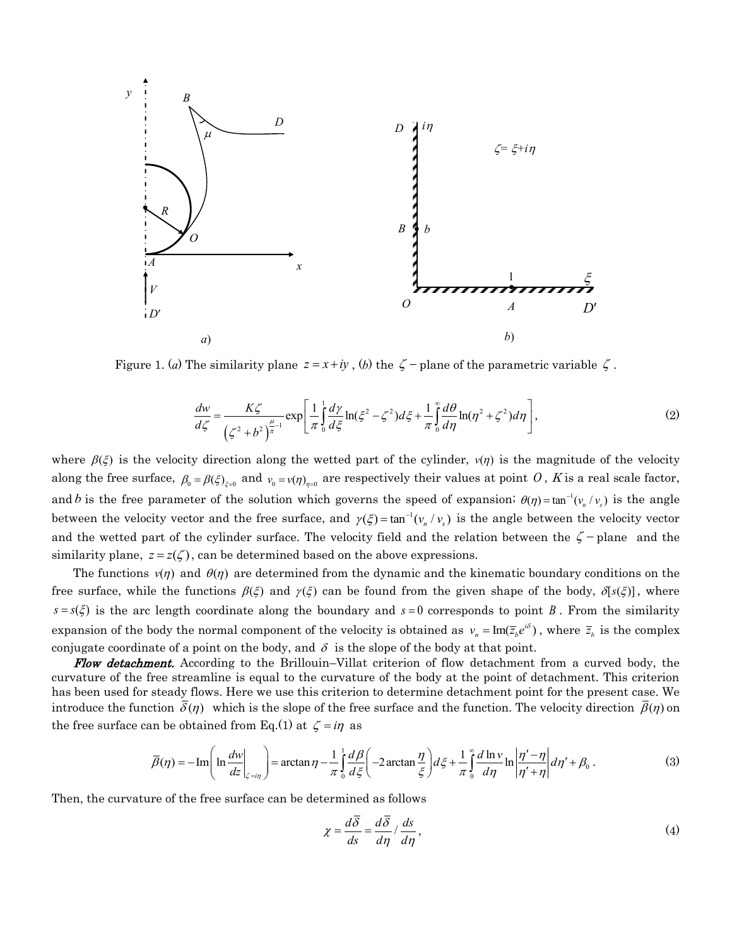

Figure 1. (a) The similarity plane 
$$
z = x + iy
$$
, (b) the  $\zeta$  - plane of the parametric variable  $\zeta$ .  

$$
\frac{dw}{d\zeta} = \frac{K\zeta}{\left(\zeta^2 + b^2\right)^{\frac{\mu}{\pi}-1}} \exp\left[\frac{1}{\pi} \int_0^1 \frac{d\gamma}{d\zeta} \ln(\zeta^2 - \zeta^2) d\zeta + \frac{1}{\pi} \int_0^{\infty} \frac{d\theta}{d\eta} \ln(\eta^2 + \zeta^2) d\eta\right],
$$
(2)

where  $\beta(\xi)$  is the velocity direction along the wetted part of the cylinder,  $v(\eta)$  is the magnitude of the velocity along the free surface,  $\beta_0 = \beta(\xi)_{\xi=0}$  and  $v_0 = v(\eta)_{\eta=0}$  are respectively their values at point O, K is a real scale factor, and *b* is the free parameter of the solution which governs the speed of expansion;  $\theta(\eta) = \tan^{-1}(v_n/v_s)$  is the angle between the velocity vector and the free surface, and  $\gamma(\xi) = \tan^{-1}(v_n/v_s)$  is the angle between the velocity vector and the wetted part of the cylinder surface. The velocity field and the relation between the  $\zeta$ -plane and the similarity plane,  $z = z(\zeta)$ , can be determined based on the above expressions.

The functions  $v(\eta)$  and  $\theta(\eta)$  are determined from the dynamic and the kinematic boundary conditions on the free surface, while the functions  $\beta(\xi)$  and  $\gamma(\xi)$  can be found from the given shape of the body,  $\delta[s(\xi)]$ , where  $s = s(\xi)$  is the arc length coordinate along the boundary and  $s = 0$  corresponds to point B. From the similarity expansion of the body the normal component of the velocity is obtained as  $v_n = \text{Im}(\bar{z}_k e^{i\delta})$ , where  $\bar{z}_b$  is the complex conjugate coordinate of a point on the body, and  $\delta$  is the slope of the body at that point.

Flow detachment. According to the Brillouin–Villat criterion of flow detachment from a curved body, the curvature of the free streamline is equal to the curvature of the body at the point of detachment. This criterion has been used for steady flows. Here we use this criterion to determine detachment point for the present case. We introduce the function  $\overline{\delta}(\eta)$  which is the slope of the free surface and the function. The velocity direction  $\overline{\beta}(\eta)$  on<br>the free surface can be obtained from Eq.(1) at  $\zeta = i\eta$  as<br> $\overline{\beta}(\eta) = -\text{Im}\left(\ln \frac{dw}{dz}\Big|_{$ the free surface can be obtained from Eq.(1) at  $\zeta = i\eta$  as Solved from Eq. (1) at  $\zeta = i\eta$  as<br>  $\left(\ln \frac{dw}{dz}\right)_{\zeta = i\eta}$  as<br>  $\left(\ln \frac{dw}{dz}\right)_{\zeta = i\eta}$  and  $\eta - \frac{1}{\pi} \int_0^1 \frac{d\beta}{d\zeta} \left(-2\arctan \frac{\eta}{\zeta}\right) d\zeta + \frac{1}{\pi} \int_0^{\infty} \frac{d\ln v}{d\eta} \ln \left|\frac{\eta' - \eta}{\eta' + \eta}\right| d\eta$ 

$$
\bar{\beta}(\eta) = -\operatorname{Im}\left(\ln \frac{dw}{dz}\bigg|_{\zeta=i\eta}\right) = \arctan \eta - \frac{1}{\pi} \int_0^1 \frac{d\beta}{d\xi} \left(-2\arctan \frac{\eta}{\xi}\right) d\xi + \frac{1}{\pi} \int_0^\infty \frac{d\ln v}{d\eta} \ln \left|\frac{\eta'-\eta}{\eta'+\eta}\right| d\eta' + \beta_0.
$$
\n(3)

Then, the curvature of the free surface can be determined as follows

$$
\chi = \frac{d\overline{\delta}}{ds} = \frac{d\overline{\delta}}{d\eta} / \frac{ds}{d\eta},\tag{4}
$$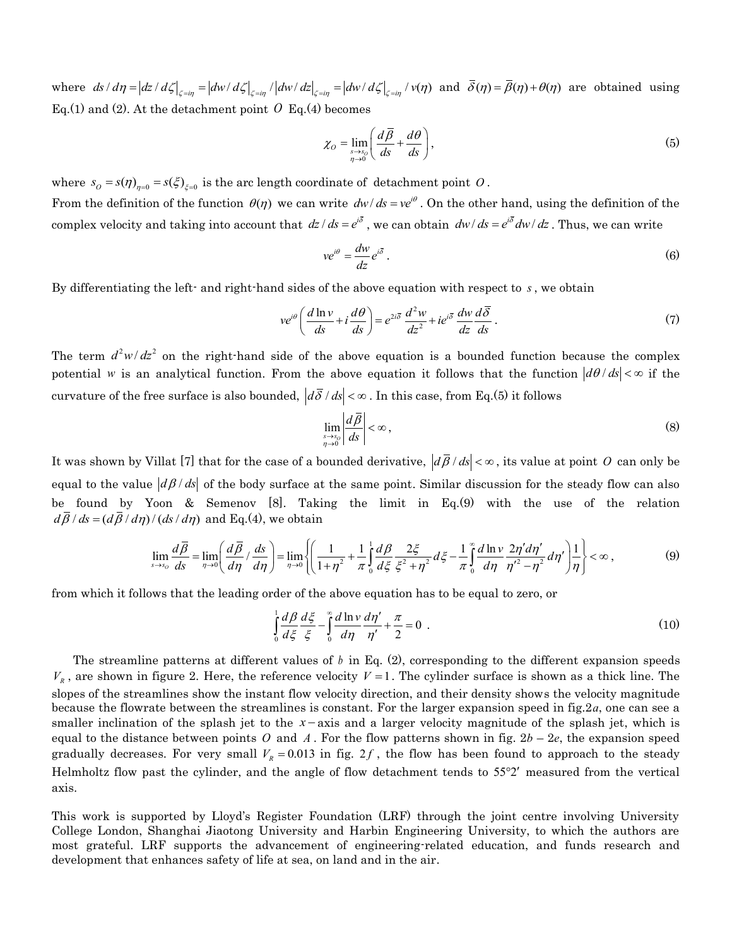where  $ds/d\eta = |dz/d\zeta|_{\zeta = i\eta} = |dw/d\zeta|_{\zeta = i\eta} / |dw/dz|_{\zeta = i\eta} = |dw/d\zeta|_{\zeta = i\eta} / v(\eta)$  and  $\overline{\delta}(\eta) = \overline{\beta}(\eta) + \theta(\eta)$  are obtained using Eq.(1) and (2). At the detachment point  $\hat{O}$  Eq.(4) becomes

$$
\chi_O = \lim_{\substack{s \to s_0 \\ \eta \to 0}} \left( \frac{d\overline{\beta}}{ds} + \frac{d\theta}{ds} \right),\tag{5}
$$

where  $s_0 = s(\eta)_{\eta=0} = s(\xi)_{\xi=0}$  is the arc length coordinate of detachment point O. From the definition of the function  $\theta(\eta)$  we can write  $dw/ds = ve^{i\theta}$ . On the other hand, using the definition of the complex velocity and taking into account that  $dz/ds = e^{i\bar{\delta}}$ , we can obtain  $dw/ds = e^{i\bar{\delta}}dw/dz$ . Thus, we can write

$$
ve^{i\theta} = \frac{dw}{dz}e^{i\bar{\delta}}.
$$
 (6)

By differentiating the left- and right-hand sides of the above equation with respect to *s* , we obtain

$$
ve^{i\theta}\left(\frac{d\ln v}{ds} + i\frac{d\theta}{ds}\right) = e^{2i\bar{\delta}}\frac{d^2w}{dz^2} + ie^{i\bar{\delta}}\frac{dw}{dz}\frac{d\bar{\delta}}{ds}.
$$
 (7)

The term  $d^2w/dz^2$  on the right-hand side of the above equation is a bounded function because the complex potential w is an analytical function. From the above equation it follows that the function  $|d\theta$ /*ds* <  $\infty$  if the curvature of the free surface is also bounded,  $|d\delta / ds| < \infty$ . In this case, from Eq.(5) it follows

$$
\lim_{\substack{s \to s_0 \\ \eta \to 0}} \left| \frac{d\overline{\beta}}{ds} \right| < \infty \,, \tag{8}
$$

It was shown by Villat [7] that for the case of a bounded derivative,  $|d\bar{\beta}/ds|<\infty$ , its value at point O can only be equal to the value  $|d\beta/ds|$  of the body surface at the same point. Similar discussion for the steady flow can also be found by Yoon & Semenov [8]. Taking the limit in Eq.(9) with the use of the relation  $d\overline{\beta}/ds = (d\overline{\beta}/d\eta)/(ds/d\eta)$  and Eq.(4), we obtain<br>  $\lim_{s \to s_0} \frac{d\overline{\beta}}{ds} = \lim_{\eta \to 0} \left( \frac{d\overline{\beta}}{d\eta} / \frac{ds}{d\eta} \right) = \lim_{\eta \to 0} \left\{$  $d\bar{\beta}/ds = (d\bar{\beta}/d\eta)/(ds/d\eta)$  and Eq.(4), we obtain the body surface at the same point. Similar discussion for the steady flow calculation menov [8]. Taking the limit in Eq.(9) with the use of the red Eq.(4), we obtain  $\left(\frac{d\overline{\beta}}{d\eta}/\frac{ds}{d\eta}\right) = \lim_{\eta \to 0} \left\{ \left(\frac{1}{1+\eta$ 

$$
\lim_{s \to s_0} \frac{d\overline{\beta}}{ds} = \lim_{\eta \to 0} \left( \frac{d\overline{\beta}}{d\eta} / \frac{ds}{d\eta} \right) = \lim_{\eta \to 0} \left\{ \left( \frac{1}{1 + \eta^2} + \frac{1}{\pi} \int_0^1 \frac{d\beta}{d\xi} \frac{2\xi}{\xi^2 + \eta^2} d\xi - \frac{1}{\pi} \int_0^{\pi} \frac{d\ln v}{d\eta} \frac{2\eta' d\eta'}{\eta'^2 - \eta^2} d\eta' \right) \frac{1}{\eta} \right\} < \infty, \tag{9}
$$

from which it follows that the leading order of the above equation has to be equal to zero, or

$$
\int_{0}^{1} \frac{d\beta}{d\xi} \frac{d\xi}{\xi} - \int_{0}^{\infty} \frac{d\ln v}{d\eta} \frac{d\eta'}{\eta'} + \frac{\pi}{2} = 0
$$
 (10)

The streamline patterns at different values of b in Eq. (2), corresponding to the different expansion speeds  $V_R$ , are shown in figure 2. Here, the reference velocity  $V = 1$ . The cylinder surface is shown as a thick line. The slopes of the streamlines show the instant flow velocity direction, and their density shows the velocity magnitude because the flowrate between the streamlines is constant. For the larger expansion speed in fig.2*a*, one can see a smaller inclination of the splash jet to the  $x$ -axis and a larger velocity magnitude of the splash jet, which is equal to the distance between points O and A. For the flow patterns shown in fig.  $2b - 2e$ , the expansion speed gradually decreases. For very small  $V_R = 0.013$  in fig. 2f, the flow has been found to approach to the steady Helmholtz flow past the cylinder, and the angle of flow detachment tends to  $55^{\circ}2'$  measured from the vertical axis.

This work is supported by Lloyd's Register Foundation (LRF) through the joint centre involving University College London, Shanghai Jiaotong University and Harbin Engineering University, to which the authors are most grateful. LRF supports the advancement of engineering-related education, and funds research and development that enhances safety of life at sea, on land and in the air.